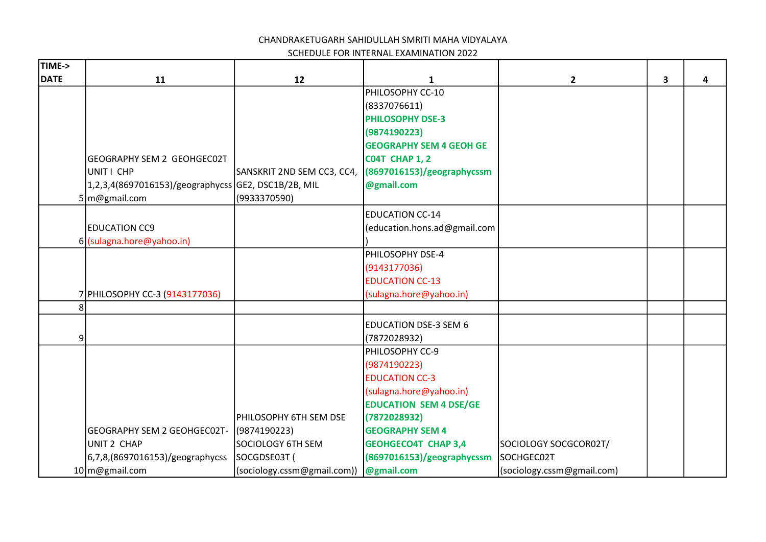| TIME->      |                                                     |                             |                                |                            |   |   |
|-------------|-----------------------------------------------------|-----------------------------|--------------------------------|----------------------------|---|---|
| <b>DATE</b> | 11                                                  | 12                          | 1                              | $\mathbf{2}$               | 3 | 4 |
|             |                                                     |                             | PHILOSOPHY CC-10               |                            |   |   |
|             |                                                     |                             | (8337076611)                   |                            |   |   |
|             |                                                     |                             | <b>PHILOSOPHY DSE-3</b>        |                            |   |   |
|             |                                                     |                             | (9874190223)                   |                            |   |   |
|             |                                                     |                             | <b>GEOGRAPHY SEM 4 GEOH GE</b> |                            |   |   |
|             | <b>GEOGRAPHY SEM 2 GEOHGEC02T</b>                   |                             | <b>CO4T CHAP 1, 2</b>          |                            |   |   |
|             | UNIT I CHP                                          | SANSKRIT 2ND SEM CC3, CC4,  | (8697016153)/geographycssm     |                            |   |   |
|             | 1,2,3,4(8697016153)/geographycss GE2, DSC1B/2B, MIL |                             | @gmail.com                     |                            |   |   |
|             | $5 \mid m@gmail.com$                                | (9933370590)                |                                |                            |   |   |
|             |                                                     |                             | <b>EDUCATION CC-14</b>         |                            |   |   |
|             | <b>EDUCATION CC9</b>                                |                             | (education.hons.ad@gmail.com   |                            |   |   |
|             | 6 (sulagna.hore@yahoo.in)                           |                             |                                |                            |   |   |
|             |                                                     |                             | PHILOSOPHY DSE-4               |                            |   |   |
|             |                                                     |                             | (9143177036)                   |                            |   |   |
|             |                                                     |                             | <b>EDUCATION CC-13</b>         |                            |   |   |
|             | 7 PHILOSOPHY CC-3 (9143177036)                      |                             | (sulagna.hore@yahoo.in)        |                            |   |   |
| 8           |                                                     |                             |                                |                            |   |   |
|             |                                                     |                             | <b>EDUCATION DSE-3 SEM 6</b>   |                            |   |   |
| 9           |                                                     |                             | (7872028932)                   |                            |   |   |
|             |                                                     |                             | PHILOSOPHY CC-9                |                            |   |   |
|             |                                                     |                             | (9874190223)                   |                            |   |   |
|             |                                                     |                             | <b>EDUCATION CC-3</b>          |                            |   |   |
|             |                                                     |                             | (sulagna.hore@yahoo.in)        |                            |   |   |
|             |                                                     |                             | <b>EDUCATION SEM 4 DSE/GE</b>  |                            |   |   |
|             |                                                     | PHILOSOPHY 6TH SEM DSE      | (7872028932)                   |                            |   |   |
|             | <b>GEOGRAPHY SEM 2 GEOHGEC02T-</b>                  | (9874190223)                | <b>GEOGRAPHY SEM 4</b>         |                            |   |   |
|             | UNIT 2 CHAP                                         | SOCIOLOGY 6TH SEM           | <b>GEOHGECO4T CHAP 3,4</b>     | SOCIOLOGY SOCGCOR02T/      |   |   |
|             | 6,7,8,(8697016153)/geographycss                     | SOCGDSE03T (                | (8697016153)/geographycssm     | SOCHGEC02T                 |   |   |
|             | 10 m@gmail.com                                      | (sociology.cssm@gmail.com)) | @gmail.com                     | (sociology.cssm@gmail.com) |   |   |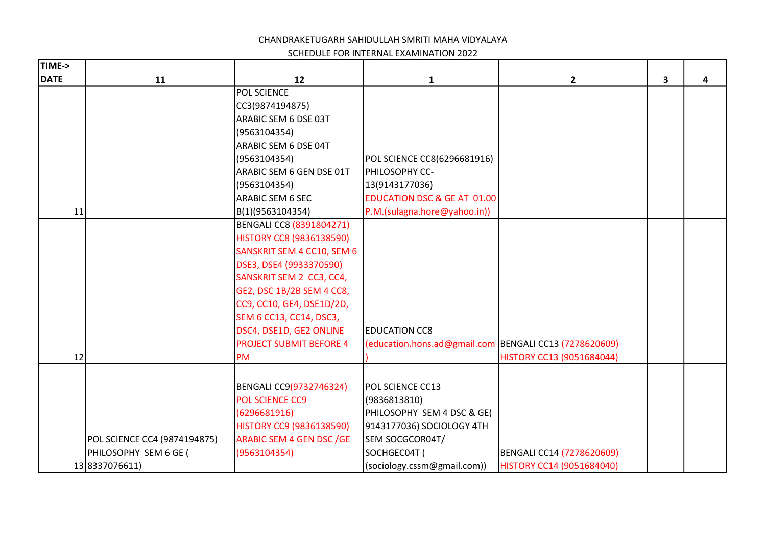| TIME->      |                              |                                 |                                                          |                           |   |   |
|-------------|------------------------------|---------------------------------|----------------------------------------------------------|---------------------------|---|---|
| <b>DATE</b> | 11                           | 12                              | 1                                                        | $\overline{2}$            | 3 | 4 |
|             |                              | POL SCIENCE                     |                                                          |                           |   |   |
|             |                              | CC3(9874194875)                 |                                                          |                           |   |   |
|             |                              | ARABIC SEM 6 DSE 03T            |                                                          |                           |   |   |
|             |                              | (9563104354)                    |                                                          |                           |   |   |
|             |                              | ARABIC SEM 6 DSE 04T            |                                                          |                           |   |   |
|             |                              | (9563104354)                    | POL SCIENCE CC8(6296681916)                              |                           |   |   |
|             |                              | ARABIC SEM 6 GEN DSE 01T        | PHILOSOPHY CC-                                           |                           |   |   |
|             |                              | (9563104354)                    | 13(9143177036)                                           |                           |   |   |
|             |                              | <b>ARABIC SEM 6 SEC</b>         | <b>EDUCATION DSC &amp; GE AT 01.00</b>                   |                           |   |   |
| 11          |                              | B(1)(9563104354)                | P.M.(sulagna.hore@yahoo.in))                             |                           |   |   |
|             |                              | BENGALI CC8 (8391804271)        |                                                          |                           |   |   |
|             |                              | HISTORY CC8 (9836138590)        |                                                          |                           |   |   |
|             |                              | SANSKRIT SEM 4 CC10, SEM 6      |                                                          |                           |   |   |
|             |                              | DSE3, DSE4 (9933370590)         |                                                          |                           |   |   |
|             |                              | SANSKRIT SEM 2 CC3, CC4,        |                                                          |                           |   |   |
|             |                              | GE2, DSC 1B/2B SEM 4 CC8,       |                                                          |                           |   |   |
|             |                              | CC9, CC10, GE4, DSE1D/2D,       |                                                          |                           |   |   |
|             |                              | SEM 6 CC13, CC14, DSC3,         |                                                          |                           |   |   |
|             |                              | DSC4, DSE1D, GE2 ONLINE         | <b>EDUCATION CC8</b>                                     |                           |   |   |
|             |                              | <b>PROJECT SUBMIT BEFORE 4</b>  | (education.hons.ad@gmail.com   BENGALI CC13 (7278620609) |                           |   |   |
| 12          |                              | <b>PM</b>                       |                                                          | HISTORY CC13 (9051684044) |   |   |
|             |                              |                                 |                                                          |                           |   |   |
|             |                              | BENGALI CC9(9732746324)         | <b>POL SCIENCE CC13</b>                                  |                           |   |   |
|             |                              | POL SCIENCE CC9                 | (9836813810)                                             |                           |   |   |
|             |                              | (6296681916)                    | PHILOSOPHY SEM 4 DSC & GE(                               |                           |   |   |
|             |                              | <b>HISTORY CC9 (9836138590)</b> | 9143177036) SOCIOLOGY 4TH                                |                           |   |   |
|             | POL SCIENCE CC4 (9874194875) | <b>ARABIC SEM 4 GEN DSC/GE</b>  | SEM SOCGCOR04T/                                          |                           |   |   |
|             | PHILOSOPHY SEM 6 GE (        | (9563104354)                    | SOCHGEC04T (                                             | BENGALI CC14 (7278620609) |   |   |
|             | 13 8337076611)               |                                 | (sociology.cssm@gmail.com))                              | HISTORY CC14 (9051684040) |   |   |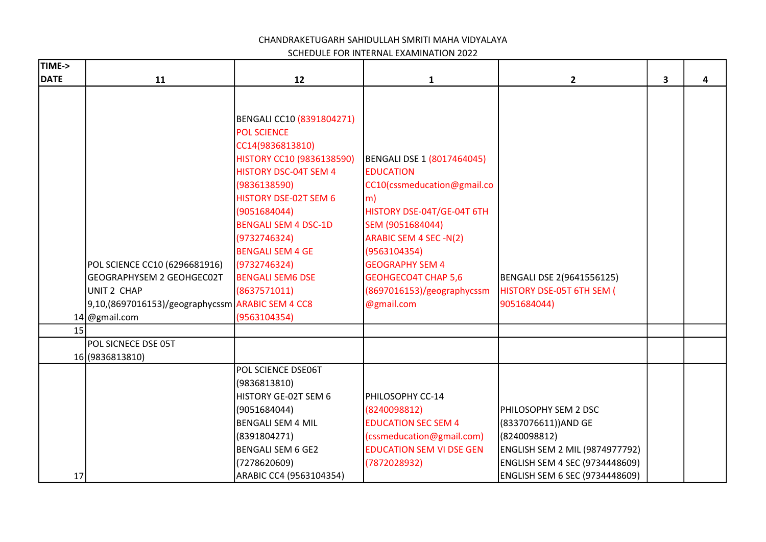| TIME->      |                                                                                                                                      |                                                                                                                                                                                                                                                                                                                                |                                                                                                                                                                                                                                                                                     |                                                                                                                                                                   |   |   |
|-------------|--------------------------------------------------------------------------------------------------------------------------------------|--------------------------------------------------------------------------------------------------------------------------------------------------------------------------------------------------------------------------------------------------------------------------------------------------------------------------------|-------------------------------------------------------------------------------------------------------------------------------------------------------------------------------------------------------------------------------------------------------------------------------------|-------------------------------------------------------------------------------------------------------------------------------------------------------------------|---|---|
| <b>DATE</b> | 11                                                                                                                                   | 12                                                                                                                                                                                                                                                                                                                             | 1                                                                                                                                                                                                                                                                                   | $\mathbf{2}$                                                                                                                                                      | 3 | 4 |
|             | POL SCIENCE CC10 (6296681916)<br><b>GEOGRAPHYSEM 2 GEOHGEC02T</b><br>UNIT 2 CHAP<br>9,10,(8697016153)/geographycssm ARABIC SEM 4 CC8 | BENGALI CC10 (8391804271)<br><b>POL SCIENCE</b><br>CC14(9836813810)<br>HISTORY CC10 (9836138590)<br>HISTORY DSC-04T SEM 4<br>(9836138590)<br><b>HISTORY DSE-02T SEM 6</b><br>(9051684044)<br><b>BENGALI SEM 4 DSC-1D</b><br>(9732746324)<br><b>BENGALI SEM 4 GE</b><br>(9732746324)<br><b>BENGALI SEM6 DSE</b><br>(8637571011) | BENGALI DSE 1 (8017464045)<br><b>EDUCATION</b><br>CC10(cssmeducation@gmail.co<br>m)<br>HISTORY DSE-04T/GE-04T 6TH<br>SEM (9051684044)<br>ARABIC SEM 4 SEC -N(2)<br>(9563104354)<br><b>GEOGRAPHY SEM 4</b><br><b>GEOHGECO4T CHAP 5,6</b><br>(8697016153)/geographycssm<br>@gmail.com | BENGALI DSE 2(9641556125)<br>HISTORY DSE-05T 6TH SEM (<br>9051684044)                                                                                             |   |   |
|             | 14 @gmail.com                                                                                                                        | (9563104354)                                                                                                                                                                                                                                                                                                                   |                                                                                                                                                                                                                                                                                     |                                                                                                                                                                   |   |   |
| 15          |                                                                                                                                      |                                                                                                                                                                                                                                                                                                                                |                                                                                                                                                                                                                                                                                     |                                                                                                                                                                   |   |   |
|             | POL SICNECE DSE 05T<br>16 (9836813810)                                                                                               |                                                                                                                                                                                                                                                                                                                                |                                                                                                                                                                                                                                                                                     |                                                                                                                                                                   |   |   |
| 17          |                                                                                                                                      | POL SCIENCE DSE06T<br>(9836813810)<br>HISTORY GE-02T SEM 6<br>(9051684044)<br><b>BENGALI SEM 4 MIL</b><br>(8391804271)<br><b>BENGALI SEM 6 GE2</b><br>(7278620609)<br>ARABIC CC4 (9563104354)                                                                                                                                  | PHILOSOPHY CC-14<br>(8240098812)<br><b>EDUCATION SEC SEM 4</b><br>(cssmeducation@gmail.com)<br><b>EDUCATION SEM VI DSE GEN</b><br>(7872028932)                                                                                                                                      | PHILOSOPHY SEM 2 DSC<br>(8337076611))AND GE<br>(8240098812)<br>ENGLISH SEM 2 MIL (9874977792)<br>ENGLISH SEM 4 SEC (9734448609)<br>ENGLISH SEM 6 SEC (9734448609) |   |   |